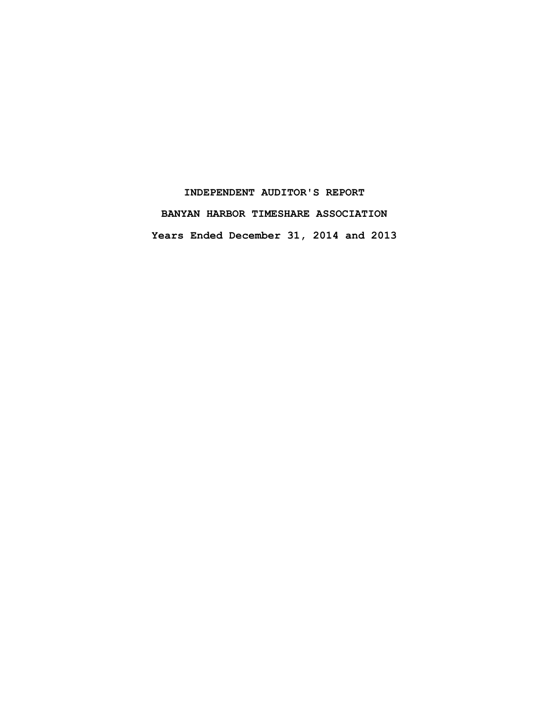# **INDEPENDENT AUDITOR'S REPORT BANYAN HARBOR TIMESHARE ASSOCIATION Years Ended December 31, 2014 and 2013**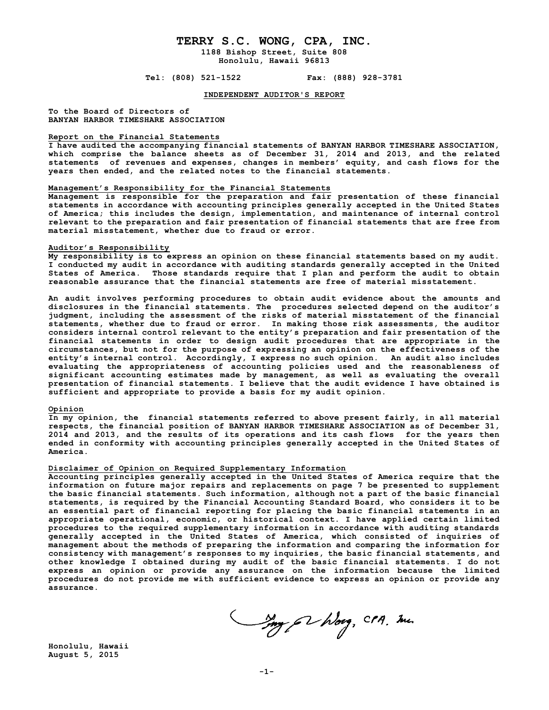## **TERRY S.C. WONG, CPA, INC. 1188 Bishop Street, Suite 808**

**Honolulu, Hawaii 96813**

**Tel: (808) 521-1522 Fax: (888) 928-3781**

**INDEPENDENT AUDITOR'S REPORT**

**To the Board of Directors of BANYAN HARBOR TIMESHARE ASSOCIATION**

#### **Report on the Financial Statements**

**I have audited the accompanying financial statements of BANYAN HARBOR TIMESHARE ASSOCIATION, which comprise the balance sheets as of December 31, 2014 and 2013, and the related statements of revenues and expenses, changes in members' equity, and cash flows for the years then ended, and the related notes to the financial statements.**

#### **Management's Responsibility for the Financial Statements**

**Management is responsible for the preparation and fair presentation of these financial statements in accordance with accounting principles generally accepted in the United States of America; this includes the design, implementation, and maintenance of internal control relevant to the preparation and fair presentation of financial statements that are free from material misstatement, whether due to fraud or error.**

#### **Auditor's Responsibility**

**My responsibility is to express an opinion on these financial statements based on my audit. I conducted my audit in accordance with auditing standards generally accepted in the United States of America. Those standards require that I plan and perform the audit to obtain reasonable assurance that the financial statements are free of material misstatement.** 

**An audit involves performing procedures to obtain audit evidence about the amounts and disclosures in the financial statements. The procedures selected depend on the auditor's judgment, including the assessment of the risks of material misstatement of the financial statements, whether due to fraud or error. In making those risk assessments, the auditor considers internal control relevant to the entity's preparation and fair presentation of the financial statements in order to design audit procedures that are appropriate in the circumstances, but not for the purpose of expressing an opinion on the effectiveness of the entity's internal control. Accordingly, I express no such opinion. An audit also includes evaluating the appropriateness of accounting policies used and the reasonableness of significant accounting estimates made by management, as well as evaluating the overall presentation of financial statements. I believe that the audit evidence I have obtained is sufficient and appropriate to provide a basis for my audit opinion.**

### **Opinion**

**In my opinion, the financial statements referred to above present fairly, in all material respects, the financial position of BANYAN HARBOR TIMESHARE ASSOCIATION as of December 31, 2014 and 2013, and the results of its operations and its cash flows for the years then ended in conformity with accounting principles generally accepted in the United States of America.**

#### **Disclaimer of Opinion on Required Supplementary Information**

**Accounting principles generally accepted in the United States of America require that the information on future major repairs and replacements on page 7 be presented to supplement the basic financial statements. Such information, although not a part of the basic financial statements, is required by the Financial Accounting Standard Board, who considers it to be an essential part of financial reporting for placing the basic financial statements in an appropriate operational, economic, or historical context. I have applied certain limited procedures to the required supplementary information in accordance with auditing standards generally accepted in the United States of America, which consisted of inquiries of management about the methods of preparing the information and comparing the information for consistency with management's responses to my inquiries, the basic financial statements, and other knowledge I obtained during my audit of the basic financial statements. I do not express an opinion or provide any assurance on the information because the limited procedures do not provide me with sufficient evidence to express an opinion or provide any assurance.**

my 62 hours, CPA, me.

**Honolulu, Hawaii August 5, 2015**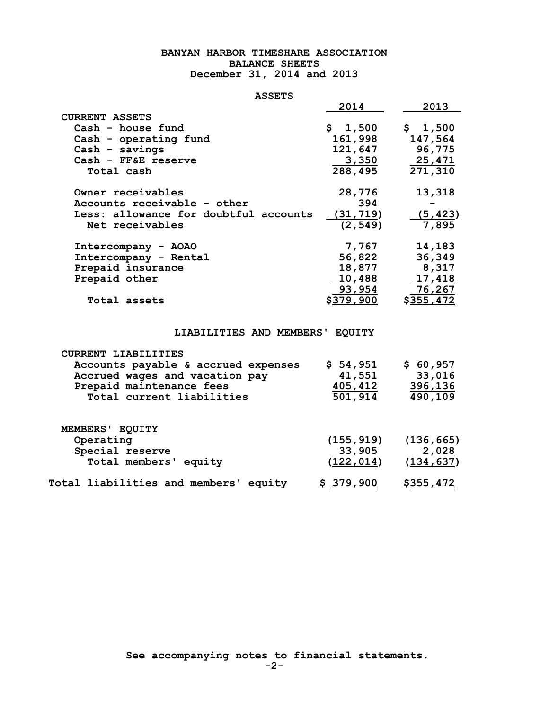## **BANYAN HARBOR TIMESHARE ASSOCIATION BALANCE SHEETS December 31, 2014 and 2013**

## **ASSETS**

| <b>ASSETS</b>                         |            |                  |
|---------------------------------------|------------|------------------|
|                                       | 2014       | 2013             |
| <b>CURRENT ASSETS</b>                 |            |                  |
| Cash - house fund                     | \$1,500    | \$1,500          |
| Cash - operating fund                 | 161,998    | 147,564          |
| Cash - savings                        | 121,647    | 96,775           |
| Cash - FF&E reserve                   | 3,350      | 25,471           |
| Total cash                            | 288,495    | 271,310          |
| Owner receivables                     | 28,776     | 13,318           |
| Accounts receivable - other           | 394        |                  |
| Less: allowance for doubtful accounts | (31, 719)  | (5, 423)         |
| Net receivables                       | (2, 549)   | 7,895            |
| Intercompany - AOAO                   | 7,767      | 14,183           |
| Intercompany - Rental                 | 56,822     | 36,349           |
| Prepaid insurance                     | 18,877     | 8,317            |
| Prepaid other                         | 10,488     | 17,418           |
|                                       | 93,954     | 76,267           |
| Total assets                          | \$379,900  | <u>\$355,472</u> |
|                                       |            |                  |
| LIABILITIES AND MEMBERS'              | EQUITY     |                  |
| <b>CURRENT LIABILITIES</b>            |            |                  |
| Accounts payable & accrued expenses   | \$54,951   | \$60,957         |
| Accrued wages and vacation pay        | 41,551     | 33,016           |
| Prepaid maintenance fees              | 405,412    | 396,136          |
| Total current liabilities             | 501,914    | 490,109          |
|                                       |            |                  |
| MEMBERS' EQUITY                       |            |                  |
| Operating                             | (155, 919) | (136, 665)       |
| Special reserve                       | 33,905     | 2,028            |
| Total members' equity                 | (122, 014) | (134, 637)       |
| Total liabilities and members' equity | \$379,900  | <u>\$355,472</u> |

 **See accompanying notes to financial statements.**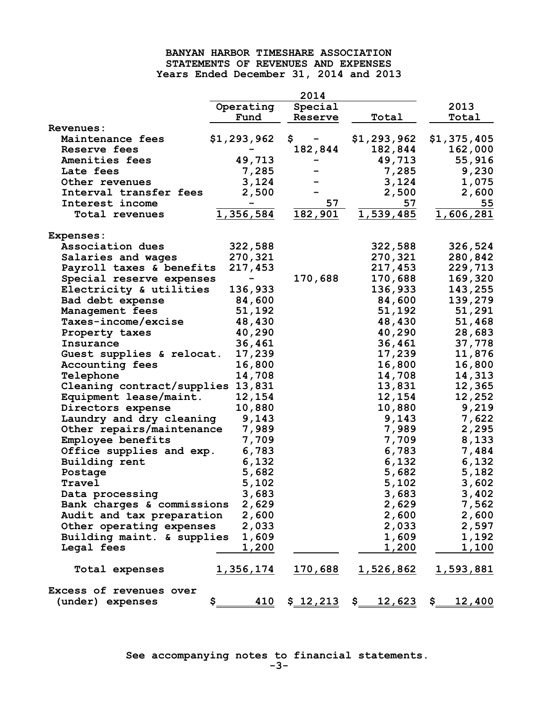## **BANYAN HARBOR TIMESHARE ASSOCIATION STATEMENTS OF REVENUES AND EXPENSES Years Ended December 31, 2014 and 2013**

|                                   |                  | 2014            |               |                  |
|-----------------------------------|------------------|-----------------|---------------|------------------|
|                                   | Operating        | Special         |               | 2013             |
|                                   | Fund             | Reserve         | Total         | Total            |
| Revenues:                         |                  |                 |               |                  |
| Maintenance fees                  | \$1,293,962      | \$              | \$1,293,962   | \$1,375,405      |
| Reserve fees                      |                  | 182,844         | 182,844       | 162,000          |
| Amenities fees                    | 49,713           |                 | 49,713        | 55,916           |
| Late fees                         | 7,285            |                 | 7,285         | 9,230            |
| Other revenues                    | 3,124            |                 | 3,124         | 1,075            |
| Interval transfer fees            | 2,500            |                 | 2,500         | 2,600            |
| Interest income                   |                  | 57              | 57            | 55               |
| Total revenues                    | 1,356,584        | 182,901         | 1,539,485     | 1,606,281        |
| <b>Expenses:</b>                  |                  |                 |               |                  |
| Association dues                  | 322,588          |                 | 322,588       | 326,524          |
| Salaries and wages                | 270,321          |                 | 270,321       | 280,842          |
| Payroll taxes & benefits          | 217,453          |                 | 217,453       | 229,713          |
| Special reserve expenses          |                  | 170,688         | 170,688       | 169,320          |
| Electricity & utilities           | 136,933          |                 | 136,933       | 143,255          |
| Bad debt expense                  | 84,600           |                 | 84,600        | 139,279          |
| Management fees                   | 51,192           |                 | 51,192        | 51,291           |
| Taxes-income/excise               | 48,430           |                 | 48,430        | 51,468           |
| Property taxes                    | 40,290           |                 | 40,290        | 28,683           |
| Insurance                         | 36,461           |                 | 36,461        | 37,778           |
| Guest supplies & relocat.         | 17,239           |                 | 17,239        | 11,876           |
| <b>Accounting fees</b>            | 16,800           |                 | 16,800        | 16,800           |
| Telephone                         | 14,708           |                 | 14,708        | 14,313           |
| Cleaning contract/supplies 13,831 |                  |                 | 13,831        | 12,365           |
| Equipment lease/maint.            | 12,154           |                 | 12,154        | 12,252           |
| Directors expense                 | 10,880           |                 | 10,880        | 9,219            |
| Laundry and dry cleaning          | 9,143            |                 | 9,143         | 7,622            |
| Other repairs/maintenance         | 7,989            |                 | 7,989         | 2,295            |
| Employee benefits                 | 7,709            |                 | 7,709         | 8,133            |
| Office supplies and exp.          | 6,783            |                 | 6,783         | 7,484            |
| Building rent                     | 6,132            |                 | 6,132         | 6,132            |
| Postage                           | 5,682            |                 | 5,682         | 5,182            |
| Travel                            | 5,102            |                 | 5,102         | 3,602            |
| Data processing                   | 3,683            |                 | 3,683         | 3,402            |
| Bank charges & commissions        | 2,629            |                 | 2,629         | 7,562            |
| Audit and tax preparation         | 2,600            |                 | 2,600         | 2,600            |
| Other operating expenses          | 2,033            |                 | 2,033         | 2,597            |
| Building maint. & supplies        | 1,609            |                 | 1,609         | 1,192            |
| Legal fees                        | 1,200            |                 | 1,200         | 1,100            |
| Total expenses                    | <u>1,356,174</u> | <u> 170,688</u> | 1,526,862     | <u>1,593,881</u> |
| Excess of revenues over           |                  |                 |               |                  |
| (under) expenses                  | 410<br>\$.       | \$12,213        | $$ 12,623$ \$ | 12,400           |

 **See accompanying notes to financial statements.**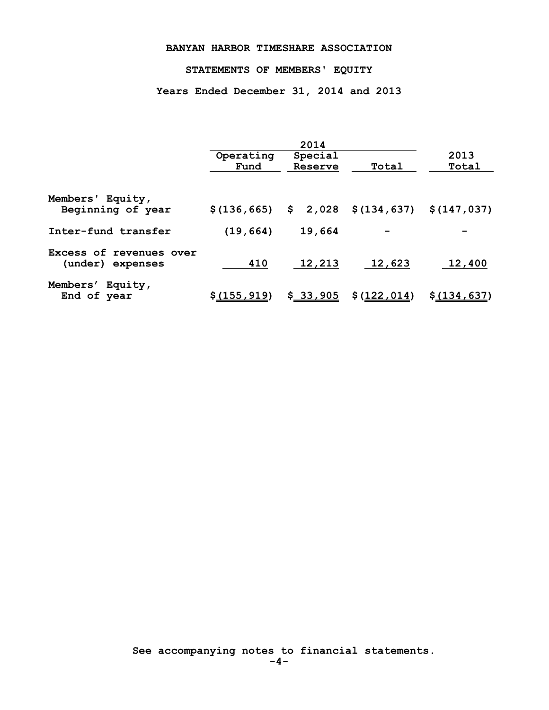## **BANYAN HARBOR TIMESHARE ASSOCIATION**

## **STATEMENTS OF MEMBERS' EQUITY**

**Years Ended December 31, 2014 and 2013**

|                                             | 2014                   |                    |                                      |               |
|---------------------------------------------|------------------------|--------------------|--------------------------------------|---------------|
|                                             | Operating<br>Fund      | Special<br>Reserve | Total                                | 2013<br>Total |
| Members' Equity,<br>Beginning of year       | $$(136, 665)$ \$ 2,028 |                    | $$(134, 637)$ $$(147, 037)$          |               |
| Inter-fund transfer                         | (19, 664)              | 19,664             |                                      |               |
| Excess of revenues over<br>(under) expenses | 410                    | 12,213             | 12,623                               | 12,400        |
| Members' Equity,<br>End of year             | \$(155, 919)           | \$33,905           | $$(\underline{122},\underline{014})$ | \$ (134, 637) |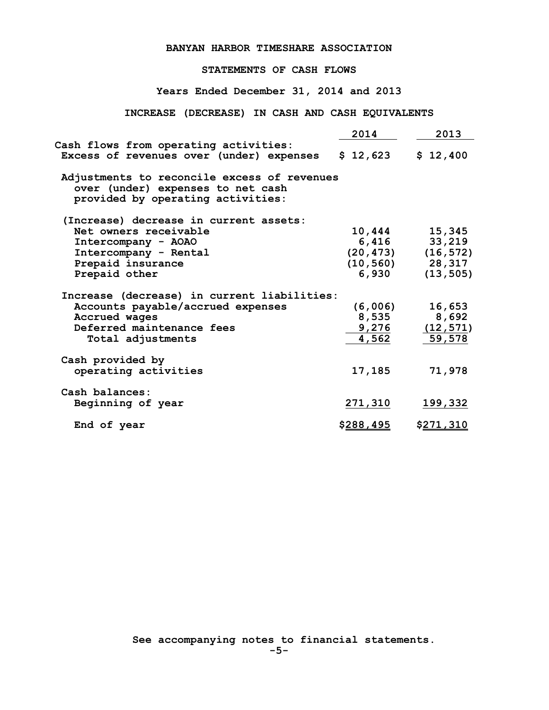## **BANYAN HARBOR TIMESHARE ASSOCIATION**

## **STATEMENTS OF CASH FLOWS**

**Years Ended December 31, 2014 and 2013**

## **INCREASE (DECREASE) IN CASH AND CASH EQUIVALENTS**

|                                                                                                                       | 2014              | 2013              |
|-----------------------------------------------------------------------------------------------------------------------|-------------------|-------------------|
| Cash flows from operating activities:<br>Excess of revenues over (under) expenses                                     | \$12,623          | \$12,400          |
| Adjustments to reconcile excess of revenues<br>over (under) expenses to net cash<br>provided by operating activities: |                   |                   |
| (Increase) decrease in current assets:                                                                                |                   |                   |
| Net owners receivable                                                                                                 | 10,444            | 15,345            |
| Intercompany - AOAO                                                                                                   | 6,416             | 33,219            |
| Intercompany - Rental                                                                                                 | (20, 473)         | (16, 572)         |
| Prepaid insurance                                                                                                     | (10, 560)         | 28,317            |
| Prepaid other                                                                                                         | 6,930             | (13, 505)         |
| Increase (decrease) in current liabilities:                                                                           |                   |                   |
| Accounts payable/accrued expenses                                                                                     | (6,006)           | 16,653            |
| Accrued wages                                                                                                         | 8,535             | 8,692             |
| Deferred maintenance fees                                                                                             | 9,276             | (12, 571)         |
| Total adjustments                                                                                                     | 4,562             | 59,578            |
| Cash provided by                                                                                                      |                   |                   |
| operating activities                                                                                                  | 17,185            | 71,978            |
| Cash balances:                                                                                                        |                   |                   |
| Beginning of year                                                                                                     | 271,310           | 199,332           |
| End of year                                                                                                           | \$ <u>288,495</u> | \$ <u>271,310</u> |
|                                                                                                                       |                   |                   |

 **See accompanying notes to financial statements.**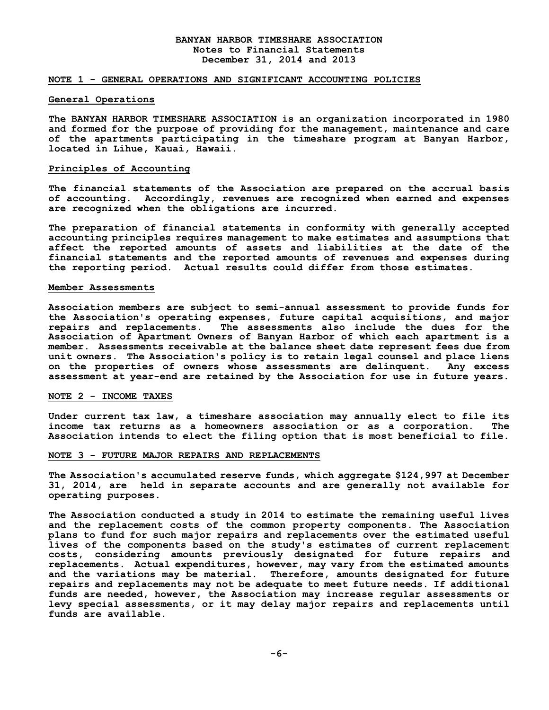### **BANYAN HARBOR TIMESHARE ASSOCIATION Notes to Financial Statements December 31, 2014 and 2013**

## **NOTE 1 - GENERAL OPERATIONS AND SIGNIFICANT ACCOUNTING POLICIES**

#### **General Operations**

**The BANYAN HARBOR TIMESHARE ASSOCIATION is an organization incorporated in 1980 and formed for the purpose of providing for the management, maintenance and care of the apartments participating in the timeshare program at Banyan Harbor, located in Lihue, Kauai, Hawaii.**

#### **Principles of Accounting**

**The financial statements of the Association are prepared on the accrual basis of accounting. Accordingly, revenues are recognized when earned and expenses are recognized when the obligations are incurred.**

**The preparation of financial statements in conformity with generally accepted accounting principles requires management to make estimates and assumptions that affect the reported amounts of assets and liabilities at the date of the financial statements and the reported amounts of revenues and expenses during the reporting period. Actual results could differ from those estimates.**

#### **Member Assessments**

**Association members are subject to semi-annual assessment to provide funds for the Association's operating expenses, future capital acquisitions, and major repairs and replacements. The assessments also include the dues for the Association of Apartment Owners of Banyan Harbor of which each apartment is a member. Assessments receivable at the balance sheet date represent fees due from unit owners. The Association's policy is to retain legal counsel and place liens on the properties of owners whose assessments are delinquent. Any excess assessment at year-end are retained by the Association for use in future years.**

#### **NOTE 2 - INCOME TAXES**

**Under current tax law, a timeshare association may annually elect to file its income tax returns as a homeowners association or as a corporation. The Association intends to elect the filing option that is most beneficial to file.**

#### **NOTE 3 - FUTURE MAJOR REPAIRS AND REPLACEMENTS**

**The Association's accumulated reserve funds, which aggregate \$124,997 at December 31, 2014, are held in separate accounts and are generally not available for operating purposes.**

**The Association conducted a study in 2014 to estimate the remaining useful lives and the replacement costs of the common property components. The Association plans to fund for such major repairs and replacements over the estimated useful lives of the components based on the study's estimates of current replacement costs, considering amounts previously designated for future repairs and replacements. Actual expenditures, however, may vary from the estimated amounts and the variations may be material. Therefore, amounts designated for future repairs and replacements may not be adequate to meet future needs. If additional funds are needed, however, the Association may increase regular assessments or levy special assessments, or it may delay major repairs and replacements until funds are available.**